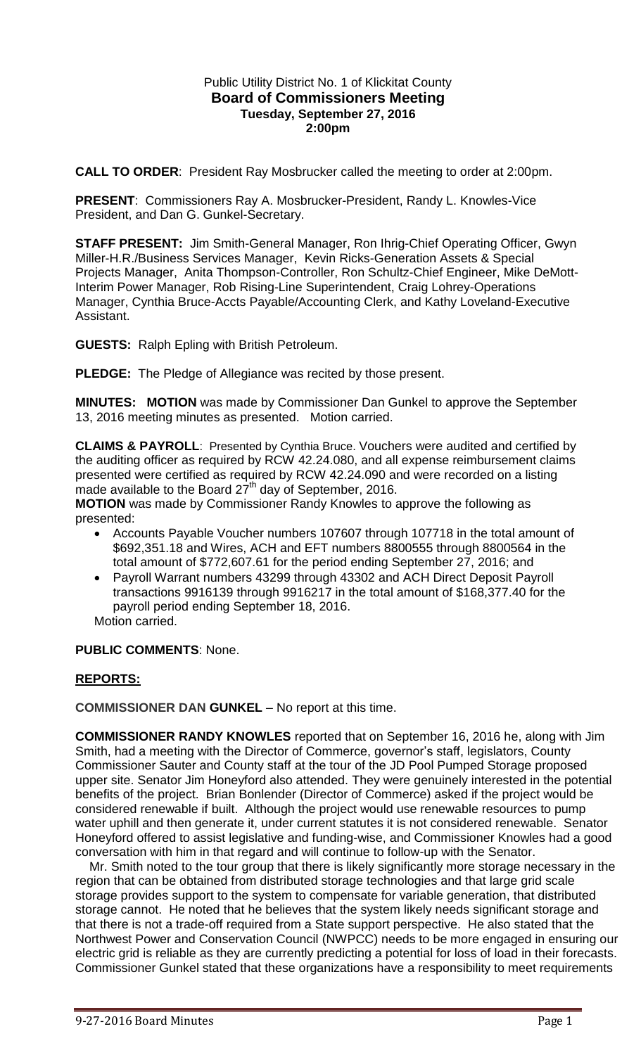# Public Utility District No. 1 of Klickitat County **Board of Commissioners Meeting Tuesday, September 27, 2016 2:00pm**

**CALL TO ORDER**: President Ray Mosbrucker called the meeting to order at 2:00pm.

**PRESENT**: Commissioners Ray A. Mosbrucker-President, Randy L. Knowles-Vice President, and Dan G. Gunkel-Secretary.

**STAFF PRESENT:** Jim Smith-General Manager, Ron Ihrig-Chief Operating Officer, Gwyn Miller-H.R./Business Services Manager, Kevin Ricks-Generation Assets & Special Projects Manager, Anita Thompson-Controller, Ron Schultz-Chief Engineer, Mike DeMott-Interim Power Manager, Rob Rising-Line Superintendent, Craig Lohrey-Operations Manager, Cynthia Bruce-Accts Payable/Accounting Clerk, and Kathy Loveland-Executive Assistant.

**GUESTS:** Ralph Epling with British Petroleum.

**PLEDGE:** The Pledge of Allegiance was recited by those present.

**MINUTES: MOTION** was made by Commissioner Dan Gunkel to approve the September 13, 2016 meeting minutes as presented. Motion carried.

**CLAIMS & PAYROLL**: Presented by Cynthia Bruce. Vouchers were audited and certified by the auditing officer as required by RCW 42.24.080, and all expense reimbursement claims presented were certified as required by RCW 42.24.090 and were recorded on a listing made available to the Board  $27<sup>th</sup>$  day of September, 2016.

**MOTION** was made by Commissioner Randy Knowles to approve the following as presented:

- Accounts Payable Voucher numbers 107607 through 107718 in the total amount of \$692,351.18 and Wires, ACH and EFT numbers 8800555 through 8800564 in the total amount of \$772,607.61 for the period ending September 27, 2016; and
- Payroll Warrant numbers 43299 through 43302 and ACH Direct Deposit Payroll transactions 9916139 through 9916217 in the total amount of \$168,377.40 for the payroll period ending September 18, 2016. Motion carried.

**PUBLIC COMMENTS**: None.

# **REPORTS:**

**COMMISSIONER DAN GUNKEL** – No report at this time.

**COMMISSIONER RANDY KNOWLES** reported that on September 16, 2016 he, along with Jim Smith, had a meeting with the Director of Commerce, governor's staff, legislators, County Commissioner Sauter and County staff at the tour of the JD Pool Pumped Storage proposed upper site. Senator Jim Honeyford also attended. They were genuinely interested in the potential benefits of the project. Brian Bonlender (Director of Commerce) asked if the project would be considered renewable if built. Although the project would use renewable resources to pump water uphill and then generate it, under current statutes it is not considered renewable. Senator Honeyford offered to assist legislative and funding-wise, and Commissioner Knowles had a good conversation with him in that regard and will continue to follow-up with the Senator.

 Mr. Smith noted to the tour group that there is likely significantly more storage necessary in the region that can be obtained from distributed storage technologies and that large grid scale storage provides support to the system to compensate for variable generation, that distributed storage cannot. He noted that he believes that the system likely needs significant storage and that there is not a trade-off required from a State support perspective. He also stated that the Northwest Power and Conservation Council (NWPCC) needs to be more engaged in ensuring our electric grid is reliable as they are currently predicting a potential for loss of load in their forecasts. Commissioner Gunkel stated that these organizations have a responsibility to meet requirements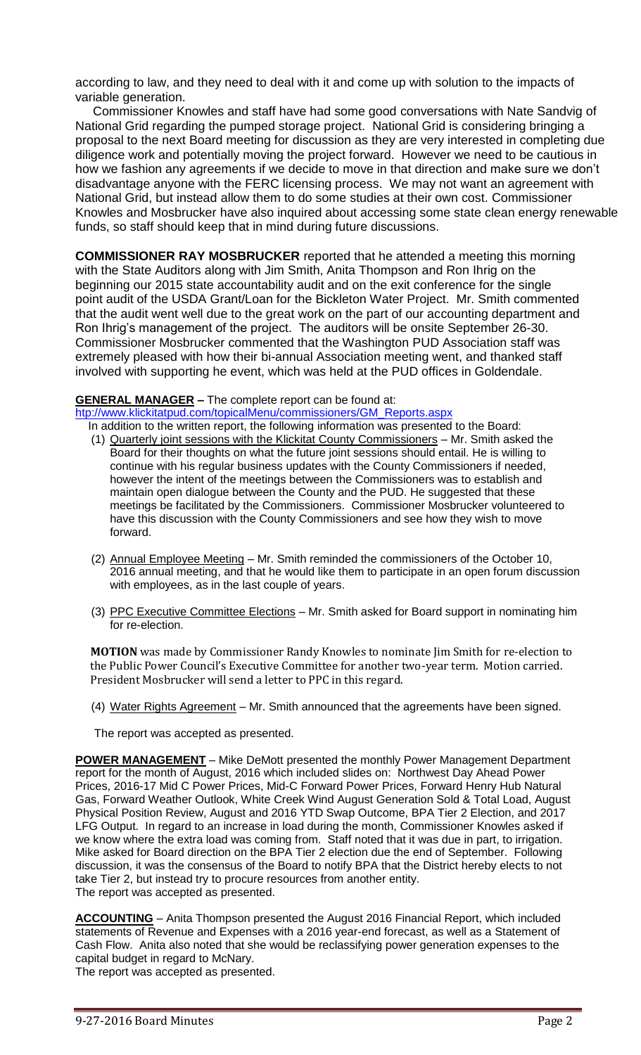according to law, and they need to deal with it and come up with solution to the impacts of variable generation.

 Commissioner Knowles and staff have had some good conversations with Nate Sandvig of National Grid regarding the pumped storage project. National Grid is considering bringing a proposal to the next Board meeting for discussion as they are very interested in completing due diligence work and potentially moving the project forward. However we need to be cautious in how we fashion any agreements if we decide to move in that direction and make sure we don't disadvantage anyone with the FERC licensing process. We may not want an agreement with National Grid, but instead allow them to do some studies at their own cost. Commissioner Knowles and Mosbrucker have also inquired about accessing some state clean energy renewable funds, so staff should keep that in mind during future discussions.

**COMMISSIONER RAY MOSBRUCKER** reported that he attended a meeting this morning with the State Auditors along with Jim Smith, Anita Thompson and Ron Ihrig on the beginning our 2015 state accountability audit and on the exit conference for the single point audit of the USDA Grant/Loan for the Bickleton Water Project. Mr. Smith commented that the audit went well due to the great work on the part of our accounting department and Ron Ihrig's management of the project. The auditors will be onsite September 26-30. Commissioner Mosbrucker commented that the Washington PUD Association staff was extremely pleased with how their bi-annual Association meeting went, and thanked staff involved with supporting he event, which was held at the PUD offices in Goldendale.

### **GENERAL MANAGER –** The complete report can be found at:

[htp://www.klickitatpud.com/topicalMenu/commissioners/GM\\_Reports.aspx](http://www.klickitatpud.com/topicalMenu/commissioners/GM_Reports.aspx)

In addition to the written report, the following information was presented to the Board:

- (1) Quarterly joint sessions with the Klickitat County Commissioners Mr. Smith asked the Board for their thoughts on what the future joint sessions should entail. He is willing to continue with his regular business updates with the County Commissioners if needed, however the intent of the meetings between the Commissioners was to establish and maintain open dialogue between the County and the PUD. He suggested that these meetings be facilitated by the Commissioners. Commissioner Mosbrucker volunteered to have this discussion with the County Commissioners and see how they wish to move forward.
- (2) Annual Employee Meeting Mr. Smith reminded the commissioners of the October 10, 2016 annual meeting, and that he would like them to participate in an open forum discussion with employees, as in the last couple of years.
- (3) PPC Executive Committee Elections Mr. Smith asked for Board support in nominating him for re-election.

**MOTION** was made by Commissioner Randy Knowles to nominate Jim Smith for re-election to the Public Power Council's Executive Committee for another two-year term. Motion carried. President Mosbrucker will send a letter to PPC in this regard.

(4) Water Rights Agreement – Mr. Smith announced that the agreements have been signed.

The report was accepted as presented.

**POWER MANAGEMENT** – Mike DeMott presented the monthly Power Management Department report for the month of August, 2016 which included slides on: Northwest Day Ahead Power Prices, 2016-17 Mid C Power Prices, Mid-C Forward Power Prices, Forward Henry Hub Natural Gas, Forward Weather Outlook, White Creek Wind August Generation Sold & Total Load, August Physical Position Review, August and 2016 YTD Swap Outcome, BPA Tier 2 Election, and 2017 LFG Output. In regard to an increase in load during the month, Commissioner Knowles asked if we know where the extra load was coming from. Staff noted that it was due in part, to irrigation. Mike asked for Board direction on the BPA Tier 2 election due the end of September. Following discussion, it was the consensus of the Board to notify BPA that the District hereby elects to not take Tier 2, but instead try to procure resources from another entity. The report was accepted as presented.

**ACCOUNTING** – Anita Thompson presented the August 2016 Financial Report, which included statements of Revenue and Expenses with a 2016 year-end forecast, as well as a Statement of Cash Flow. Anita also noted that she would be reclassifying power generation expenses to the capital budget in regard to McNary.

The report was accepted as presented.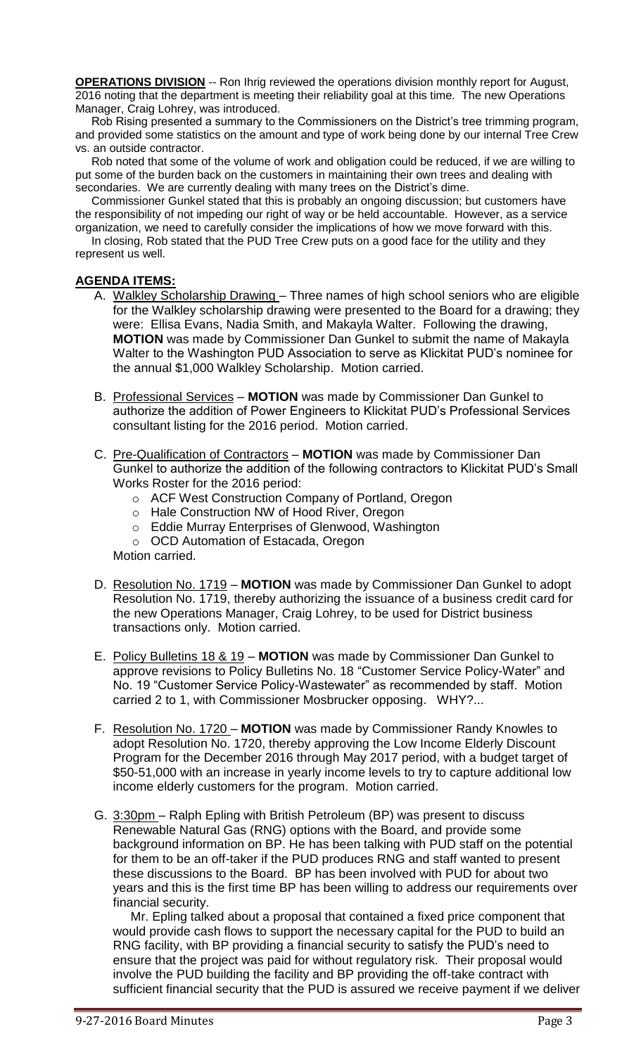**OPERATIONS DIVISION** -- Ron Ihrig reviewed the operations division monthly report for August, 2016 noting that the department is meeting their reliability goal at this time. The new Operations Manager, Craig Lohrey, was introduced.

 Rob Rising presented a summary to the Commissioners on the District's tree trimming program, and provided some statistics on the amount and type of work being done by our internal Tree Crew vs. an outside contractor.

 Rob noted that some of the volume of work and obligation could be reduced, if we are willing to put some of the burden back on the customers in maintaining their own trees and dealing with secondaries. We are currently dealing with many trees on the District's dime.

 Commissioner Gunkel stated that this is probably an ongoing discussion; but customers have the responsibility of not impeding our right of way or be held accountable. However, as a service

organization, we need to carefully consider the implications of how we move forward with this. In closing, Rob stated that the PUD Tree Crew puts on a good face for the utility and they represent us well.

# **AGENDA ITEMS:**

- A. Walkley Scholarship Drawing Three names of high school seniors who are eligible for the Walkley scholarship drawing were presented to the Board for a drawing; they were: Ellisa Evans, Nadia Smith, and Makayla Walter. Following the drawing, **MOTION** was made by Commissioner Dan Gunkel to submit the name of Makayla Walter to the Washington PUD Association to serve as Klickitat PUD's nominee for the annual \$1,000 Walkley Scholarship. Motion carried.
- B. Professional Services **MOTION** was made by Commissioner Dan Gunkel to authorize the addition of Power Engineers to Klickitat PUD's Professional Services consultant listing for the 2016 period. Motion carried.
- C. Pre-Qualification of Contractors **MOTION** was made by Commissioner Dan Gunkel to authorize the addition of the following contractors to Klickitat PUD's Small Works Roster for the 2016 period:
	- o ACF West Construction Company of Portland, Oregon
	- o Hale Construction NW of Hood River, Oregon
	- o Eddie Murray Enterprises of Glenwood, Washington
	- o OCD Automation of Estacada, Oregon

Motion carried.

- D. Resolution No. 1719 **MOTION** was made by Commissioner Dan Gunkel to adopt Resolution No. 1719, thereby authorizing the issuance of a business credit card for the new Operations Manager, Craig Lohrey, to be used for District business transactions only. Motion carried.
- E. Policy Bulletins 18 & 19 **MOTION** was made by Commissioner Dan Gunkel to approve revisions to Policy Bulletins No. 18 "Customer Service Policy-Water" and No. 19 "Customer Service Policy-Wastewater" as recommended by staff. Motion carried 2 to 1, with Commissioner Mosbrucker opposing. WHY?...
- F. Resolution No. 1720 **MOTION** was made by Commissioner Randy Knowles to adopt Resolution No. 1720, thereby approving the Low Income Elderly Discount Program for the December 2016 through May 2017 period, with a budget target of \$50-51,000 with an increase in yearly income levels to try to capture additional low income elderly customers for the program. Motion carried.
- G. 3:30pm Ralph Epling with British Petroleum (BP) was present to discuss Renewable Natural Gas (RNG) options with the Board, and provide some background information on BP. He has been talking with PUD staff on the potential for them to be an off-taker if the PUD produces RNG and staff wanted to present these discussions to the Board. BP has been involved with PUD for about two years and this is the first time BP has been willing to address our requirements over financial security.

 Mr. Epling talked about a proposal that contained a fixed price component that would provide cash flows to support the necessary capital for the PUD to build an RNG facility, with BP providing a financial security to satisfy the PUD's need to ensure that the project was paid for without regulatory risk. Their proposal would involve the PUD building the facility and BP providing the off-take contract with sufficient financial security that the PUD is assured we receive payment if we deliver